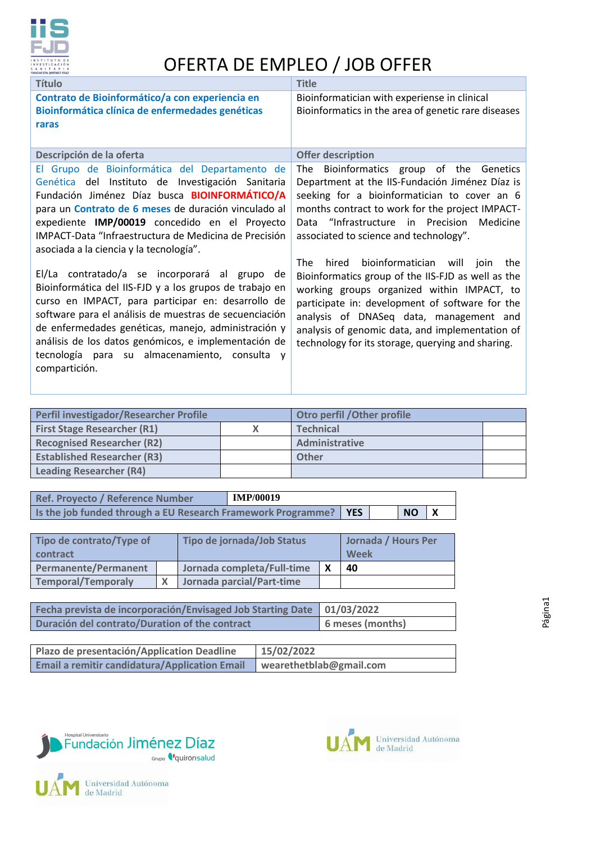

## OFERTA DE EMPLEO / JOB OFFER

| <b>Título</b>                                                                                                                                                                                                                                                                                                                                                                                             | <b>Title</b>                                                                                                                                                                                                                                                                                                                                                   |
|-----------------------------------------------------------------------------------------------------------------------------------------------------------------------------------------------------------------------------------------------------------------------------------------------------------------------------------------------------------------------------------------------------------|----------------------------------------------------------------------------------------------------------------------------------------------------------------------------------------------------------------------------------------------------------------------------------------------------------------------------------------------------------------|
| Contrato de Bioinformático/a con experiencia en<br>Bioinformática clínica de enfermedades genéticas<br>raras                                                                                                                                                                                                                                                                                              | Bioinformatician with experiense in clinical<br>Bioinformatics in the area of genetic rare diseases                                                                                                                                                                                                                                                            |
| Descripción de la oferta                                                                                                                                                                                                                                                                                                                                                                                  | <b>Offer description</b>                                                                                                                                                                                                                                                                                                                                       |
| El Grupo de Bioinformática del Departamento de<br>Genética del Instituto de Investigación Sanitaria<br>Fundación Jiménez Díaz busca <b>BIOINFORMÁTICO/A</b><br>para un Contrato de 6 meses de duración vinculado al<br>expediente IMP/00019 concedido en el Proyecto<br>IMPACT-Data "Infraestructura de Medicina de Precisión<br>asociada a la ciencia y la tecnología".                                  | The Bioinformatics group of the Genetics<br>Department at the IIS-Fundación Jiménez Díaz is<br>seeking for a bioinformatician to cover an 6<br>months contract to work for the project IMPACT-<br>Data "Infrastructure in Precision Medicine<br>associated to science and technology".                                                                         |
| El/La contratado/a se incorporará al grupo de<br>Bioinformática del IIS-FJD y a los grupos de trabajo en<br>curso en IMPACT, para participar en: desarrollo de<br>software para el análisis de muestras de secuenciación<br>de enfermedades genéticas, manejo, administración y<br>análisis de los datos genómicos, e implementación de<br>tecnología para su almacenamiento, consulta y<br>compartición. | bioinformatician will<br>hired<br>The<br>join<br>the<br>Bioinformatics group of the IIS-FJD as well as the<br>working groups organized within IMPACT, to<br>participate in: development of software for the<br>analysis of DNASeq data, management and<br>analysis of genomic data, and implementation of<br>technology for its storage, querying and sharing. |

| Perfil investigador/Researcher Profile | Otro perfil / Other profile |  |
|----------------------------------------|-----------------------------|--|
| <b>First Stage Researcher (R1)</b>     | <b>Technical</b>            |  |
| <b>Recognised Researcher (R2)</b>      | Administrative              |  |
| <b>Established Researcher (R3)</b>     | Other                       |  |
| <b>Leading Researcher (R4)</b>         |                             |  |

| Ref. Proyecto / Reference Number                                   | <b>IMP/00019</b> |  |               |  |
|--------------------------------------------------------------------|------------------|--|---------------|--|
| Is the job funded through a EU Research Framework Programme?   YES |                  |  | $NO$ $\mid$ X |  |

| Tipo de contrato/Type of<br>contract | Tipo de jornada/Job Status |  | Jornada / Hours Per<br>Week |  |
|--------------------------------------|----------------------------|--|-----------------------------|--|
| <b>Permanente/Permanent</b>          | Jornada completa/Full-time |  | 40                          |  |
| <b>Temporal/Temporaly</b>            | Jornada parcial/Part-time  |  |                             |  |

| Fecha prevista de incorporación/Envisaged Job Starting Date   01/03/2022 |                  |
|--------------------------------------------------------------------------|------------------|
| Duración del contrato/Duration of the contract                           | 6 meses (months) |

| Plazo de presentación/Application Deadline           | 15/02/2022              |
|------------------------------------------------------|-------------------------|
| <b>Email a remitir candidatura/Application Email</b> | wearethetblab@gmail.com |



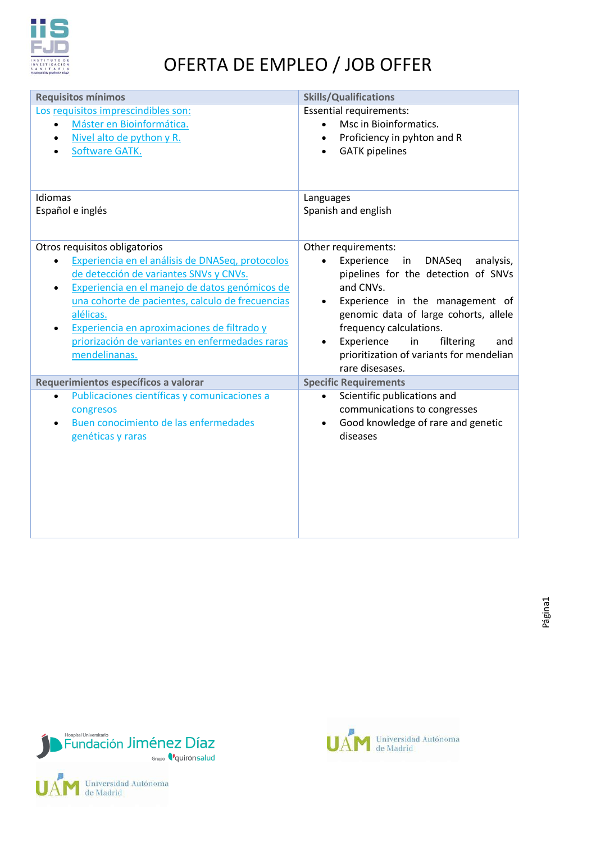

## OFERTA DE EMPLEO / JOB OFFER

| <b>Requisitos mínimos</b>                                                                                                                                                                                                                                                                                                                                                                   | <b>Skills/Qualifications</b>                                                                                                                                                                                                                                                                                                            |
|---------------------------------------------------------------------------------------------------------------------------------------------------------------------------------------------------------------------------------------------------------------------------------------------------------------------------------------------------------------------------------------------|-----------------------------------------------------------------------------------------------------------------------------------------------------------------------------------------------------------------------------------------------------------------------------------------------------------------------------------------|
| Los requisitos imprescindibles son:<br>Máster en Bioinformática.<br>Nivel alto de python y R.<br>Software GATK.                                                                                                                                                                                                                                                                             | <b>Essential requirements:</b><br>Msc in Bioinformatics.<br>Proficiency in pyhton and R<br><b>GATK</b> pipelines                                                                                                                                                                                                                        |
| Idiomas                                                                                                                                                                                                                                                                                                                                                                                     | Languages                                                                                                                                                                                                                                                                                                                               |
| Español e inglés                                                                                                                                                                                                                                                                                                                                                                            | Spanish and english                                                                                                                                                                                                                                                                                                                     |
| Otros requisitos obligatorios<br>Experiencia en el análisis de DNASeq, protocolos<br>de detección de variantes SNVs y CNVs.<br>Experiencia en el manejo de datos genómicos de<br>$\bullet$<br>una cohorte de pacientes, calculo de frecuencias<br>alélicas.<br>Experiencia en aproximaciones de filtrado y<br>$\bullet$<br>priorización de variantes en enfermedades raras<br>mendelinanas. | Other requirements:<br>analysis,<br>Experience<br>in<br><b>DNASeq</b><br>pipelines for the detection of SNVs<br>and CNVs.<br>Experience in the management of<br>genomic data of large cohorts, allele<br>frequency calculations.<br>in<br>Experience<br>filtering<br>and<br>prioritization of variants for mendelian<br>rare disesases. |
| Requerimientos específicos a valorar                                                                                                                                                                                                                                                                                                                                                        | <b>Specific Requirements</b>                                                                                                                                                                                                                                                                                                            |
| Publicaciones científicas y comunicaciones a<br>congresos<br>Buen conocimiento de las enfermedades<br>$\bullet$<br>genéticas y raras                                                                                                                                                                                                                                                        | Scientific publications and<br>communications to congresses<br>Good knowledge of rare and genetic<br>diseases                                                                                                                                                                                                                           |